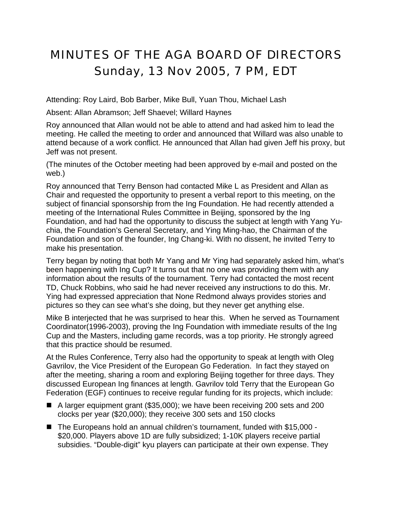## MINUTES OF THE AGA BOARD OF DIRECTORS Sunday, 13 Nov 2005, 7 PM, EDT

Attending: Roy Laird, Bob Barber, Mike Bull, Yuan Thou, Michael Lash

Absent: Allan Abramson; Jeff Shaevel; Willard Haynes

Roy announced that Allan would not be able to attend and had asked him to lead the meeting. He called the meeting to order and announced that Willard was also unable to attend because of a work conflict. He announced that Allan had given Jeff his proxy, but Jeff was not present.

(The minutes of the October meeting had been approved by e-mail and posted on the web.)

Roy announced that Terry Benson had contacted Mike L as President and Allan as Chair and requested the opportunity to present a verbal report to this meeting, on the subject of financial sponsorship from the Ing Foundation. He had recently attended a meeting of the International Rules Committee in Beijing, sponsored by the Ing Foundation, and had had the opportunity to discuss the subject at length with Yang Yuchia, the Foundation's General Secretary, and Ying Ming-hao, the Chairman of the Foundation and son of the founder, Ing Chang-ki. With no dissent, he invited Terry to make his presentation.

Terry began by noting that both Mr Yang and Mr Ying had separately asked him, what's been happening with Ing Cup? It turns out that no one was providing them with any information about the results of the tournament. Terry had contacted the most recent TD, Chuck Robbins, who said he had never received any instructions to do this. Mr. Ying had expressed appreciation that None Redmond always provides stories and pictures so they can see what's she doing, but they never get anything else.

Mike B interjected that he was surprised to hear this. When he served as Tournament Coordinator(1996-2003), proving the Ing Foundation with immediate results of the Ing Cup and the Masters, including game records, was a top priority. He strongly agreed that this practice should be resumed.

At the Rules Conference, Terry also had the opportunity to speak at length with Oleg Gavrilov, the Vice President of the European Go Federation. In fact they stayed on after the meeting, sharing a room and exploring Beijing together for three days. They discussed European Ing finances at length. Gavrilov told Terry that the European Go Federation (EGF) continues to receive regular funding for its projects, which include:

- A larger equipment grant (\$35,000); we have been receiving 200 sets and 200 clocks per year (\$20,000); they receive 300 sets and 150 clocks
- The Europeans hold an annual children's tournament, funded with \$15,000 -\$20,000. Players above 1D are fully subsidized; 1-10K players receive partial subsidies. "Double-digit" kyu players can participate at their own expense. They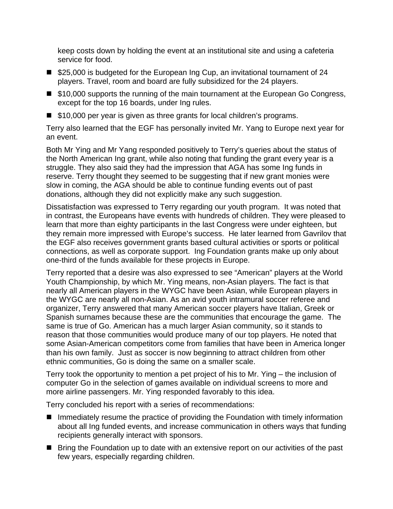keep costs down by holding the event at an institutional site and using a cafeteria service for food.

- \$25,000 is budgeted for the European Ing Cup, an invitational tournament of 24 players. Travel, room and board are fully subsidized for the 24 players.
- \$10,000 supports the running of the main tournament at the European Go Congress, except for the top 16 boards, under Ing rules.
- \$10,000 per year is given as three grants for local children's programs.

Terry also learned that the EGF has personally invited Mr. Yang to Europe next year for an event.

Both Mr Ying and Mr Yang responded positively to Terry's queries about the status of the North American Ing grant, while also noting that funding the grant every year is a struggle. They also said they had the impression that AGA has some Ing funds in reserve. Terry thought they seemed to be suggesting that if new grant monies were slow in coming, the AGA should be able to continue funding events out of past donations, although they did not explicitly make any such suggestion.

Dissatisfaction was expressed to Terry regarding our youth program. It was noted that in contrast, the Europeans have events with hundreds of children. They were pleased to learn that more than eighty participants in the last Congress were under eighteen, but they remain more impressed with Europe's success. He later learned from Gavrilov that the EGF also receives government grants based cultural activities or sports or political connections, as well as corporate support. Ing Foundation grants make up only about one-third of the funds available for these projects in Europe.

Terry reported that a desire was also expressed to see "American" players at the World Youth Championship, by which Mr. Ying means, non-Asian players. The fact is that nearly all American players in the WYGC have been Asian, while European players in the WYGC are nearly all non-Asian. As an avid youth intramural soccer referee and organizer, Terry answered that many American soccer players have Italian, Greek or Spanish surnames because these are the communities that encourage the game. The same is true of Go. American has a much larger Asian community, so it stands to reason that those communities would produce many of our top players. He noted that some Asian-American competitors come from families that have been in America longer than his own family. Just as soccer is now beginning to attract children from other ethnic communities, Go is doing the same on a smaller scale.

Terry took the opportunity to mention a pet project of his to Mr. Ying – the inclusion of computer Go in the selection of games available on individual screens to more and more airline passengers. Mr. Ying responded favorably to this idea.

Terry concluded his report with a series of recommendations:

- Immediately resume the practice of providing the Foundation with timely information about all Ing funded events, and increase communication in others ways that funding recipients generally interact with sponsors.
- Bring the Foundation up to date with an extensive report on our activities of the past few years, especially regarding children.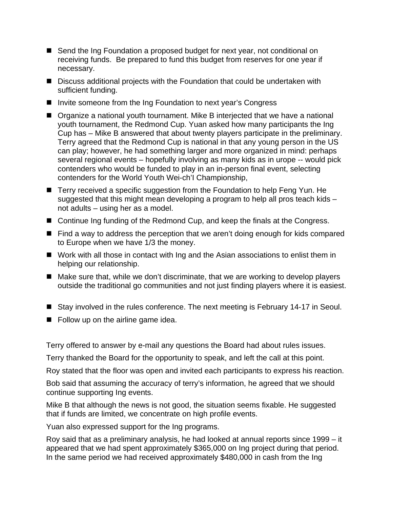- Send the Ing Foundation a proposed budget for next year, not conditional on receiving funds. Be prepared to fund this budget from reserves for one year if necessary.
- Discuss additional projects with the Foundation that could be undertaken with sufficient funding.
- Invite someone from the Ing Foundation to next year's Congress
- Organize a national youth tournament. Mike B interjected that we have a national youth tournament, the Redmond Cup. Yuan asked how many participants the Ing Cup has – Mike B answered that about twenty players participate in the preliminary. Terry agreed that the Redmond Cup is national in that any young person in the US can play; however, he had something larger and more organized in mind: perhaps several regional events – hopefully involving as many kids as in urope -- would pick contenders who would be funded to play in an in-person final event, selecting contenders for the World Youth Wei-ch'I Championship,
- Terry received a specific suggestion from the Foundation to help Feng Yun. He suggested that this might mean developing a program to help all pros teach kids – not adults – using her as a model.
- Continue Ing funding of the Redmond Cup, and keep the finals at the Congress.
- Find a way to address the perception that we aren't doing enough for kids compared to Europe when we have 1/3 the money.
- Work with all those in contact with Ing and the Asian associations to enlist them in helping our relationship.
- Make sure that, while we don't discriminate, that we are working to develop players outside the traditional go communities and not just finding players where it is easiest.
- Stay involved in the rules conference. The next meeting is February 14-17 in Seoul.
- $\blacksquare$  Follow up on the airline game idea.

Terry offered to answer by e-mail any questions the Board had about rules issues.

Terry thanked the Board for the opportunity to speak, and left the call at this point.

Roy stated that the floor was open and invited each participants to express his reaction.

Bob said that assuming the accuracy of terry's information, he agreed that we should continue supporting Ing events.

Mike B that although the news is not good, the situation seems fixable. He suggested that if funds are limited, we concentrate on high profile events.

Yuan also expressed support for the Ing programs.

Roy said that as a preliminary analysis, he had looked at annual reports since 1999 – it appeared that we had spent approximately \$365,000 on Ing project during that period. In the same period we had received approximately \$480,000 in cash from the Ing